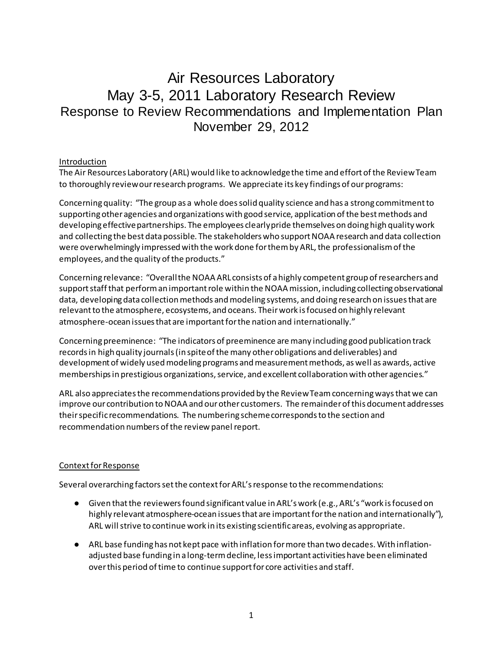# Air Resources Laboratory May 3-5, 2011 Laboratory Research Review Response to Review Recommendations and Implementation Plan November 29, 2012

#### Introduction

The Air Resources Laboratory (ARL) would like to acknowledge the time and effort of the Review Team to thoroughly review our research programs. We appreciate its key findings of our programs:

Concerning quality: "The group as a whole does solid quality science and has a strong commitment to supporting other agencies and organizations with good service, application of the best methods and developing effective partnerships. The employees clearly pride themselves on doing high quality work and collecting the best data possible. The stakeholders who support NOAA research and data collection were overwhelmingly impressed with the work done for them by ARL, the professionalism of the employees, and the quality of the products."

Concerning relevance: "Overall the NOAA ARL consists of a highly competent group of researchers and support staff that perform an important role within the NOAA mission, including collecting observational data, developing data collection methods and modeling systems, and doing research on issues that are relevant to the atmosphere, ecosystems, and oceans. Their work is focused on highly relevant atmosphere-ocean issues that are important for the nation and internationally."

Concerning preeminence: "The indicators of preeminence are many including good publication track records in high quality journals (in spite of the many other obligations and deliverables) and development of widely used modeling programs and measurement methods, as well as awards, active memberships in prestigious organizations, service, and excellent collaboration with other agencies."

ARL also appreciates the recommendations provided by the Review Team concerning ways that we can improve our contribution to NOAA and our other customers. The remainder of this document addresses their specific recommendations. The numbering scheme corresponds to the section and recommendation numbers of the review panel report.

# Context for Response

Several overarching factors set the context for ARL's response to the recommendations:

- Given that the reviewers found significant value in ARL's work (e.g., ARL's "work is focused on highly relevant atmosphere-ocean issues that are important for the nation and internationally"), ARL will strive to continue work in its existing scientific areas, evolving as appropriate.
- ARL base funding has not kept pace with inflation for more than two decades. With inflationadjusted base funding in a long-term decline, less important activities have been eliminated over this period of time to continue support for core activities and staff.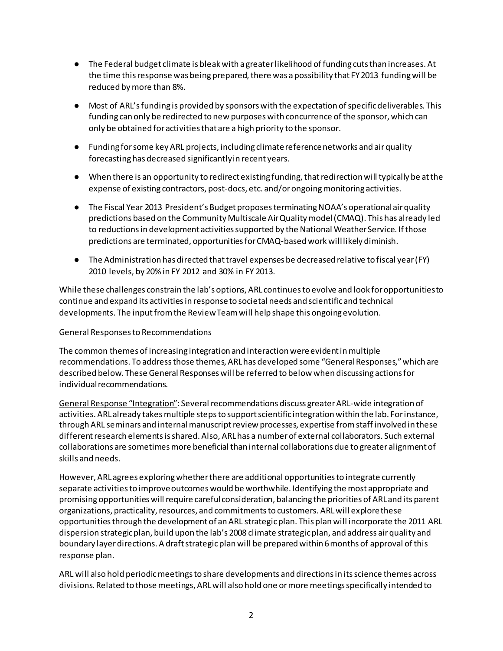- The Federal budget climate is bleak with a greater likelihood of funding cuts than increases. At the time this response was being prepared, there was a possibility that FY 2013 funding will be reduced by more than 8%.
- Most of ARL's funding is provided by sponsors with the expectation of specific deliverables. This funding can only be redirected to new purposes with concurrence of the sponsor, which can only be obtained for activities that are a high priority to the sponsor.
- Funding for some key ARL projects, including climate reference networks and air quality forecasting has decreased significantly in recent years.
- When there is an opportunity to redirect existing funding, that redirection will typically be at the expense of existing contractors, post-docs, etc. and/or ongoing monitoring activities.
- The Fiscal Year 2013 President's Budget proposes terminating NOAA's operational air quality predictions based on the Community Multiscale Air Quality model (CMAQ). This has already led to reductions in development activities supported by the National Weather Service. If those predictions are terminated, opportunities for CMAQ-based work will likely diminish.
- The Administration has directed that travel expenses be decreased relative to fiscal year (FY) 2010 levels, by 20% in FY 2012 and 30% in FY 2013.

While these challenges constrain the lab's options, ARL continues to evolve and look for opportunities to continue and expand its activities in response to societal needs and scientific and technical developments. The input from the Review Team will help shape this ongoing evolution.

# General Responses to Recommendations

The common themes of increasing integration and interaction were evident in multiple recommendations. To address those themes, ARL has developed some "General Responses," which are described below. These General Responses will be referred to below when discussing actions for individual recommendations.

General Response "Integration": Several recommendations discuss greater ARL-wide integration of activities. ARL already takes multiple steps to support scientific integration within the lab. For instance, through ARL seminars and internal manuscript review processes, expertise from staff involved in these different research elements is shared. Also, ARL has a number of external collaborators. Such external collaborations are sometimes more beneficial than internal collaborations due to greater alignment of skills and needs.

However, ARL agrees exploring whether there are additional opportunities to integrate currently separate activities to improve outcomes would be worthwhile. Identifying the most appropriate and promising opportunities will require careful consideration, balancing the priorities of ARL and its parent organizations, practicality, resources, and commitments to customers. ARL will explore these opportunities through the development of an ARL strategic plan. This plan will incorporate the 2011 ARL dispersion strategic plan, build upon the lab's 2008 climate strategic plan, and address air quality and boundary layer directions. A draft strategic plan will be prepared within 6 months of approval of this response plan.

ARL will also hold periodic meetings to share developments and directions in its science themes across divisions. Related to those meetings, ARL will also hold one or more meetings specifically intended to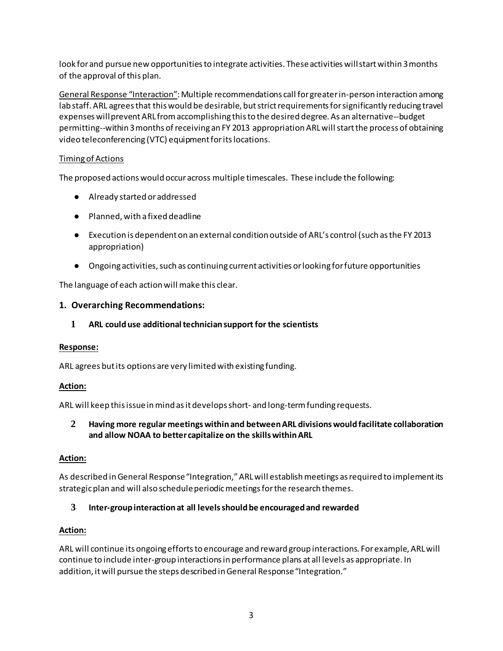look for and pursue new opportunities to integrate activities. These activities will start within 3 months of the approval of this plan.

General Response "Interaction": Multiple recommendations call for greater in-person interaction among lab staff. ARL agrees that this would be desirable, but strict requirements for significantly reducing travel expenses will prevent ARL from accomplishing this to the desired degree. As an alternative--budget permitting--within 3 months of receiving an FY 2013 appropriation ARL will start the process of obtaining video teleconferencing (VTC) equipment for its locations.

# Timing of Actions

The proposed actions would occur across multiple timescales. These include the following:

- Already started or addressed
- Planned, with a fixed deadline
- Execution is dependent on an external condition outside of ARL's control (such as the FY 2013 appropriation)
- Ongoing activities, such as continuing current activities or looking for future opportunities

The language of each action will make this clear.

# **1. Overarching Recommendations:**

# **1 ARL could use additional technician support for the scientists**

# **Response:**

ARL agrees but its options are very limited with existing funding.

# **Action:**

ARL will keep this issue in mind as it develops short- and long-term funding requests.

# **2 Having more regular meetings within and between ARL divisions would facilitate collaboration and allow NOAA to better capitalize on the skills within ARL**

# **Action:**

As described in General Response "Integration," ARL will establish meetings as required to implement its strategic plan and will also schedule periodic meetings for the research themes.

# **3 Inter-group interaction at all levels should be encouraged and rewarded**

# **Action:**

ARL will continue its ongoing efforts to encourage and reward group interactions. For example, ARL will continue to include inter-group interactions in performance plans at all levels as appropriate. In addition, it will pursue the steps described in General Response "Integration."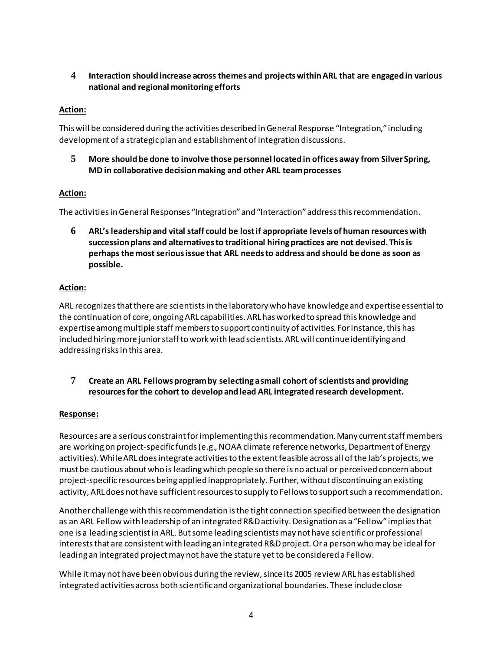# **4 Interaction should increase across themes and projects within ARL that are engaged in various national and regional monitoring efforts**

# **Action:**

This will be considered during the activities described in General Response "Integration," including development of a strategic plan and establishment of integration discussions.

**5 More should be done to involve those personnel located in offices away from Silver Spring, MD in collaborative decision making and other ARL team processes**

# **Action:**

The activities in General Responses "Integration" and "Interaction" address this recommendation.

**6 ARL's leadership and vital staff could be lost if appropriate levels of human resources with succession plans and alternatives to traditional hiring practices are not devised. This is perhaps the most serious issue that ARL needs to address and should be done as soon as possible.**

# **Action:**

ARL recognizes that there are scientists in the laboratory who have knowledge and expertise essential to the continuation of core, ongoing ARL capabilities. ARL has worked to spread this knowledge and expertise among multiple staff members to support continuity of activities. For instance, this has included hiring more junior staff to work with lead scientists. ARL will continue identifying and addressing risks in this area.

**7 Create an ARL Fellows program by selecting a small cohort of scientists and providing resources for the cohort to develop and lead ARL integrated research development.**

# **Response:**

Resources are a serious constraint for implementing this recommendation. Many current staff members are working on project-specific funds (e.g., NOAA climate reference networks, Department of Energy activities). While ARL does integrate activities to the extent feasible across all of the lab's projects, we must be cautious about who is leading which people so there is no actual or perceived concern about project-specific resources being applied inappropriately. Further, without discontinuing an existing activity, ARL does not have sufficient resources to supply to Fellows to support such a recommendation.

Another challenge with this recommendation is the tight connection specified between the designation as an ARL Fellow with leadership of an integrated R&D activity. Designation as a "Fellow" implies that one is a leading scientist in ARL. But some leading scientists may not have scientific or professional interests that are consistent with leading an integrated R&D project. Or a person who may be ideal for leading an integrated project may not have the stature yet to be considered a Fellow.

While it may not have been obvious during the review, since its 2005 review ARL has established integrated activities across both scientific and organizational boundaries. These includeclose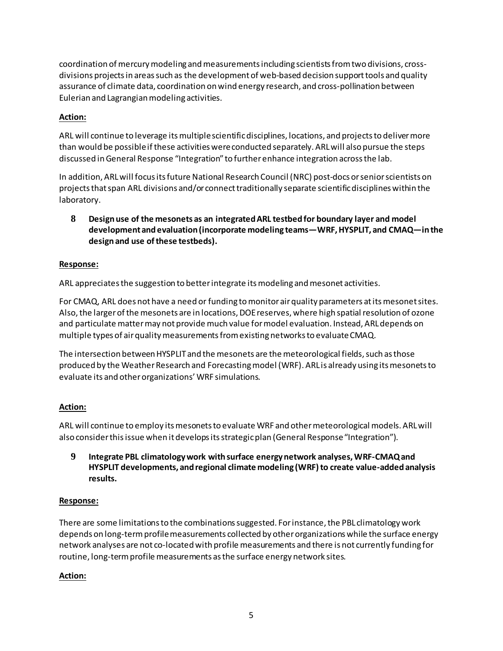coordination of mercury modeling and measurements including scientists from two divisions, crossdivisions projects in areas such as the development of web-based decision support tools and quality assurance of climate data, coordination on wind energy research, and cross-pollination between Eulerian and Lagrangian modeling activities.

# **Action:**

ARL will continue to leverage its multiple scientific disciplines, locations, and projects to deliver more than would be possible if these activities were conducted separately. ARL will also pursue the steps discussed in General Response "Integration" to further enhance integration across the lab.

In addition, ARL will focus its future National Research Council (NRC) post-docs or senior scientists on projects that span ARL divisions and/or connect traditionally separate scientific disciplines within the laboratory.

**8 Design use of the mesonets as an integrated ARL testbed for boundary layer and model development and evaluation (incorporate modeling teams—WRF, HYSPLIT, and CMAQ—in the design and use of these testbeds).**

# **Response:**

ARL appreciates the suggestion to better integrate its modeling and mesonet activities.

For CMAQ, ARL does not have a need or funding to monitor air quality parameters at its mesonet sites. Also, the larger of the mesonets are in locations, DOE reserves, where high spatial resolution of ozone and particulate matter may not provide much value for model evaluation. Instead, ARL depends on multiple types of air quality measurements from existing networks to evaluate CMAQ.

The intersection between HYSPLIT and the mesonets are the meteorological fields, such as those produced by the Weather Research and Forecasting model (WRF). ARL is already using its mesonets to evaluate its and other organizations' WRF simulations.

# **Action:**

ARL will continue to employ its mesonets to evaluate WRF and other meteorological models. ARL will also consider this issue when it develops its strategic plan (General Response "Integration").

**9 Integrate PBL climatology work with surface energy network analyses, WRF-CMAQ and HYSPLIT developments, and regional climate modeling (WRF) to create value-added analysis results.**

# **Response:**

There are some limitations to the combinations suggested. For instance, the PBL climatology work depends on long-term profile measurements collected by other organizations while the surface energy network analyses are not co-located with profile measurements and there is not currently funding for routine, long-term profile measurements as the surface energy network sites.

# **Action:**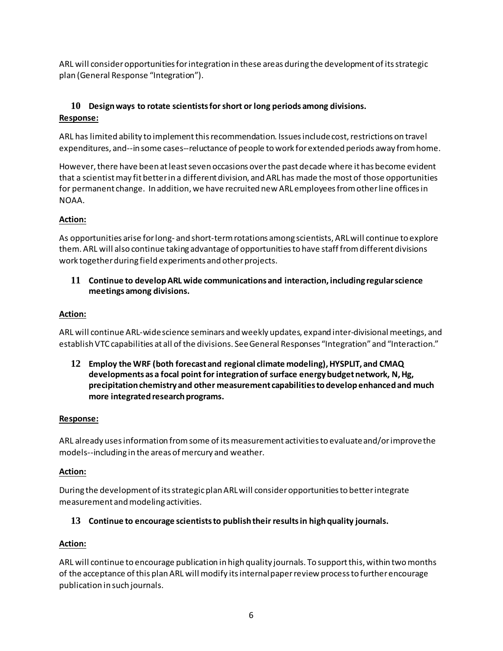ARL will consider opportunities for integration in these areas during the development of its strategic plan (General Response "Integration").

# **10 Design ways to rotate scientists for short or long periods among divisions. Response:**

ARL has limited ability to implement this recommendation. Issues include cost, restrictions on travel expenditures, and--in some cases--reluctance of people to work for extended periods away from home.

However, there have been at least seven occasions over the past decade where it has become evident that a scientist may fit better in a different division, and ARL has made the most of those opportunities for permanent change. In addition, we have recruited new ARL employees from other line officesin NOAA.

# **Action:**

As opportunities arise for long- and short-term rotations among scientists, ARL will continue to explore them. ARL will also continue taking advantage of opportunities to have staff from different divisions work together during field experiments and other projects.

**11 Continue to develop ARL wide communications and interaction, including regular science meetings among divisions.**

# **Action:**

ARL will continue ARL-wide science seminars and weekly updates, expand inter-divisional meetings, and establish VTC capabilities at all of the divisions. See General Responses "Integration" and "Interaction."

**12 Employ the WRF (both forecast and regional climate modeling), HYSPLIT, and CMAQ developments as a focal point for integration of surface energy budget network, N, Hg, precipitation chemistry and other measurement capabilities to develop enhanced and much more integrated research programs.**

# **Response:**

ARL already uses information from some of its measurement activities to evaluate and/or improve the models--including in the areas of mercury and weather.

# **Action:**

During the development of its strategic plan ARL will consider opportunities to better integrate measurement and modeling activities.

# **13 Continue to encourage scientists to publish their results in high quality journals.**

# **Action:**

ARL will continue to encourage publication in high quality journals. To support this, within two months of the acceptance of this plan ARL will modify its internal paper review process to further encourage publication in such journals.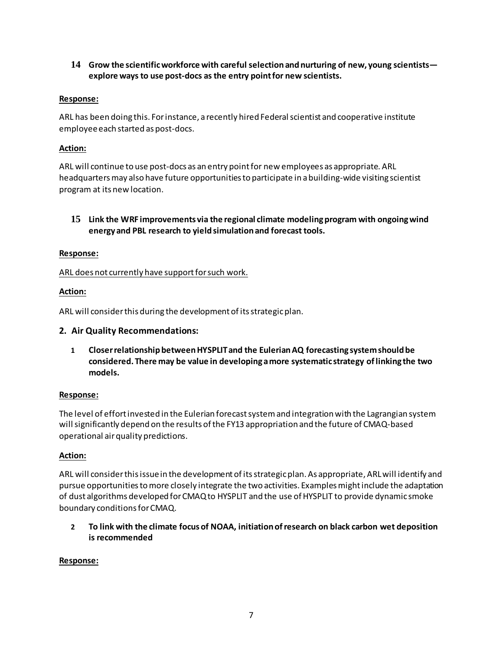**14 Grow the scientific workforce with careful selection and nurturing of new, young scientists explore ways to use post-docs as the entry point for new scientists.**

### **Response:**

ARL has been doing this. For instance, a recently hired Federal scientist and cooperative institute employee each started as post-docs.

### **Action:**

ARL will continue to use post-docs as an entry point for new employees as appropriate. ARL headquarters may also have future opportunities to participate in a building-wide visiting scientist program at its new location.

**15 Link the WRF improvements via the regional climate modeling program with ongoing wind energy and PBL research to yield simulation and forecast tools.** 

#### **Response:**

ARL does not currently have support for such work.

#### **Action:**

ARL will consider this during the development of its strategic plan.

#### **2. Air Quality Recommendations:**

**1 Closer relationship between HYSPLIT and the Eulerian AQ forecasting system should be considered. There may be value in developing a more systematic strategy of linking the two models.**

#### **Response:**

The level of effort invested in the Eulerian forecast system and integration with the Lagrangian system will significantly depend on the results of the FY13 appropriation and the future of CMAQ-based operational air quality predictions.

#### **Action:**

ARL will consider this issue in the development of its strategic plan. As appropriate, ARL will identify and pursue opportunities to more closely integrate the two activities. Examples might include the adaptation of dust algorithms developed for CMAQ to HYSPLIT and the use of HYSPLIT to provide dynamic smoke boundary conditions for CMAQ.

**2 To link with the climate focus of NOAA, initiation of research on black carbon wet deposition is recommended**

#### **Response:**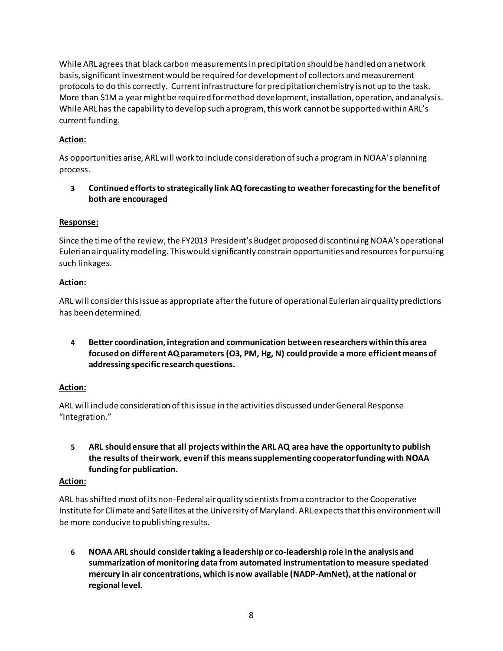While ARL agrees that black carbon measurements in precipitation should be handled on a network basis, significant investment would be required for development of collectors and measurement protocols to do this correctly. Current infrastructure for precipitation chemistry is not up to the task. More than \$1M a year might be required for method development, installation, operation, and analysis. While ARL has the capability to develop such a program, this work cannot be supported within ARL's current funding.

# **Action:**

As opportunities arise, ARL will work to include consideration of such a program in NOAA's planning process.

**3 Continued efforts to strategically link AQ forecasting to weather forecasting for the benefit of both are encouraged**

# **Response:**

Since the time of the review, the FY2013 President's Budget proposed discontinuing NOAA's operational Eulerian air quality modeling. This would significantly constrain opportunities and resources for pursuing such linkages.

# **Action:**

ARL will consider this issue as appropriate after the future of operational Eulerian air quality predictions has been determined.

**4 Better coordination, integration and communication between researchers within this area focused on different AQ parameters (O3, PM, Hg, N) could provide a more efficient means of addressing specific research questions.**

# **Action:**

ARL will include consideration of this issue in the activities discussed under General Response "Integration."

**5 ARL should ensure that all projects within the ARL AQ area have the opportunity to publish the results of their work, even if this means supplementing cooperator funding with NOAA funding for publication.**

# **Action:**

ARL has shifted most of its non-Federal air quality scientists from a contractor to the Cooperative Institute for Climate and Satellites at the University of Maryland. ARL expects that this environment will be more conducive to publishing results.

**6 NOAA ARL should consider taking a leadership or co-leadership role in the analysis and summarization of monitoring data from automated instrumentation to measure speciated mercury in air concentrations, which is now available (NADP-AmNet), at the national or regional level.**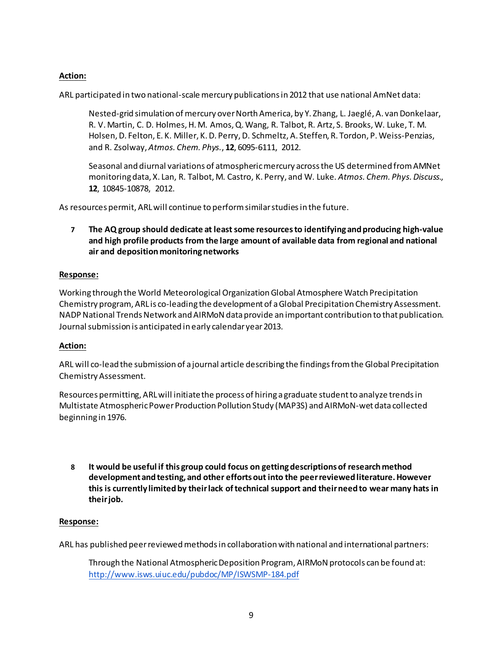# **Action:**

ARL participated in two national-scale mercury publications in 2012 that use national AmNet data:

Nested-grid simulation of mercury over North America, by Y. Zhang, L. Jaeglé, A. van Donkelaar, R. V. Martin, C. D. Holmes, H. M. Amos, Q. Wang, R. Talbot, R. Artz, S. Brooks, W. Luke, T. M. Holsen, D. Felton, E. K. Miller, K. D. Perry, D. Schmeltz, A. Steffen, R. Tordon, P. Weiss-Penzias, and R. Zsolway, *Atmos. Chem. Phys.*, **12**, 6095-6111, 2012.

Seasonal and diurnal variations of atmospheric mercury across the US determined from AMNet monitoring data, X. Lan, R. Talbot, M. Castro, K. Perry, and W. Luke*. Atmos. Chem. Phys. Discuss*., **12**, 10845-10878, 2012.

As resources permit, ARL will continue to perform similar studies in the future.

**7 The AQ group should dedicate at least some resources to identifying and producing high-value and high profile products from the large amount of available data from regional and national air and deposition monitoring networks**

# **Response:**

Working through the World Meteorological Organization Global Atmosphere Watch Precipitation Chemistry program, ARL is co-leading the development of a Global Precipitation Chemistry Assessment. NADP National Trends Network and AIRMoN data provide an important contribution to that publication. Journal submission is anticipated in early calendar year 2013.

# **Action:**

ARL will co-lead the submission of a journal article describing the findings from the Global Precipitation Chemistry Assessment.

Resources permitting, ARL will initiate the process of hiring a graduate student to analyze trends in Multistate Atmospheric Power Production Pollution Study (MAP3S) and AIRMoN-wet data collected beginning in 1976.

**8 It would be useful if this group could focus on getting descriptions of research method development and testing, and other efforts out into the peer reviewed literature. However this is currently limited by their lack of technical support and their need to wear many hats in their job.**

#### **Response:**

ARL has published peer reviewed methods in collaboration with national and international partners:

Through the National Atmospheric Deposition Program, AIRMoN protocols can be found at: <http://www.isws.uiuc.edu/pubdoc/MP/ISWSMP-184.pdf>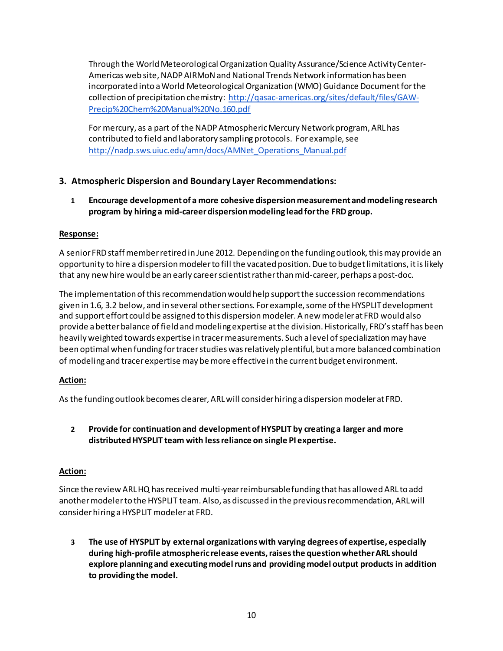Through the World Meteorological Organization Quality Assurance/Science Activity Center-Americas web site, NADP AIRMoN and National Trends Network information has been incorporated into a World Meteorological Organization (WMO) Guidance Document for the collection of precipitation chemistry: [http://qasac-americas.org/sites/default/files/GAW-](http://qasac-americas.org/sites/default/files/GAW-Precip%20Chem%20Manual%20No.160.pdf)[Precip%20Chem%20Manual%20No.160.pdf](http://qasac-americas.org/sites/default/files/GAW-Precip%20Chem%20Manual%20No.160.pdf)

For mercury, as a part of the NADP Atmospheric Mercury Network program, ARL has contributed to field and laboratory sampling protocols. For example, see [http://nadp.sws.uiuc.edu/amn/docs/AMNet\\_Operations\\_Manual.pdf](http://nadp.sws.uiuc.edu/amn/docs/AMNet_Operations_Manual.pdf)

# **3. Atmospheric Dispersion and Boundary Layer Recommendations:**

**1 Encourage development of a more cohesive dispersion measurement and modeling research program by hiring a mid-career dispersion modeling lead for the FRD group.**

# **Response:**

A senior FRD staff member retired in June 2012. Depending on the funding outlook, this may provide an opportunity to hire a dispersion modeler to fill the vacated position. Due to budget limitations, it is likely that any new hire would be an early career scientist rather than mid-career, perhaps a post-doc.

The implementation of this recommendation would help support the succession recommendations given in 1.6, 3.2 below, and in several other sections. For example, some of the HYSPLIT development and support effort could be assigned to this dispersion modeler. A new modeler at FRD would also provide a better balance of field and modeling expertise at the division. Historically, FRD's staff has been heavily weighted towards expertise in tracer measurements. Such a level of specialization may have been optimal when funding for tracer studies was relatively plentiful, but a more balanced combination of modeling and tracer expertise may be more effective in the current budget environment.

# **Action:**

As the funding outlook becomes clearer, ARL will consider hiring a dispersion modeler at FRD.

# **2 Provide for continuation and development of HYSPLIT by creating a larger and more distributed HYSPLIT team with less reliance on single PI expertise.**

# **Action:**

Since the review ARL HQ has received multi-year reimbursable funding that has allowed ARL to add another modeler to the HYSPLIT team. Also, as discussed in the previous recommendation, ARL will consider hiring a HYSPLIT modeler at FRD.

**3 The use of HYSPLIT by external organizations with varying degrees of expertise, especially during high-profile atmospheric release events, raises the question whether ARL should explore planning and executing model runs and providing model output products in addition to providing the model.**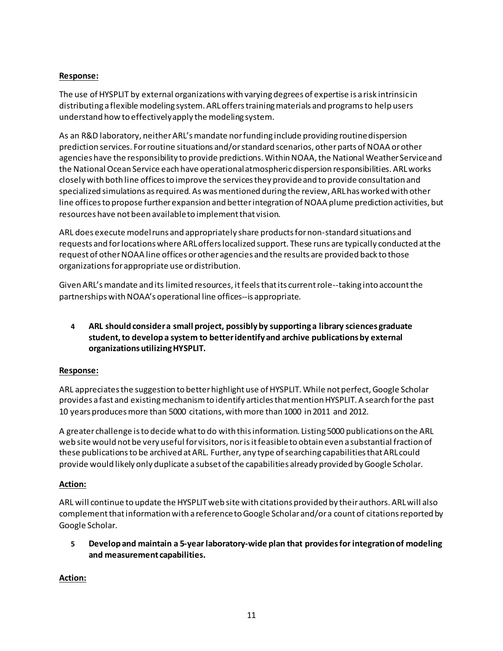# **Response:**

The use of HYSPLIT by external organizations with varying degrees of expertise is a risk intrinsic in distributing a flexible modeling system. ARL offers training materials and programs to help users understand how to effectively apply the modeling system.

As an R&D laboratory, neither ARL's mandate nor funding include providing routine dispersion prediction services. For routine situations and/or standard scenarios, other parts of NOAA or other agencies have the responsibility to provide predictions. Within NOAA, the National Weather Service and the National Ocean Service each have operational atmospheric dispersion responsibilities. ARL works closely with both line offices to improve the services they provide and to provide consultation and specialized simulations as required. As was mentioned during the review, ARL has worked with other line offices to propose further expansion and better integration of NOAA plume prediction activities, but resources have not been available to implement that vision.

ARL does execute model runs and appropriately share products for non-standard situations and requests and for locations where ARL offers localized support. These runs are typically conducted at the request of other NOAA line offices or other agencies and the results are provided back to those organizations for appropriate use or distribution.

Given ARL's mandate and its limited resources, it feels that its current role--taking into account the partnerships with NOAA's operational line offices--is appropriate.

**4 ARL should consider a small project, possibly by supporting a library sciences graduate student, to develop a system to better identify and archive publications by external organizations utilizing HYSPLIT.**

# **Response:**

ARL appreciates the suggestion to better highlight use of HYSPLIT. While not perfect, Google Scholar provides a fast and existing mechanism to identify articles that mention HYSPLIT. A search for the past 10 years produces more than 5000 citations, with more than 1000 in 2011 and 2012.

A greater challenge is to decide what to do with this information. Listing 5000 publications on the ARL web site would not be very useful for visitors, nor is it feasible to obtain even a substantial fraction of these publications to be archived at ARL. Further, any type of searching capabilities that ARL could provide would likely only duplicate a subset of the capabilities already provided by Google Scholar.

# **Action:**

ARL will continue to update the HYSPLIT web site with citations provided by their authors. ARL will also complement that information with a reference to Google Scholar and/or a count of citations reported by Google Scholar.

**5 Develop and maintain a 5-year laboratory-wide plan that provides for integration of modeling and measurement capabilities.** 

# **Action:**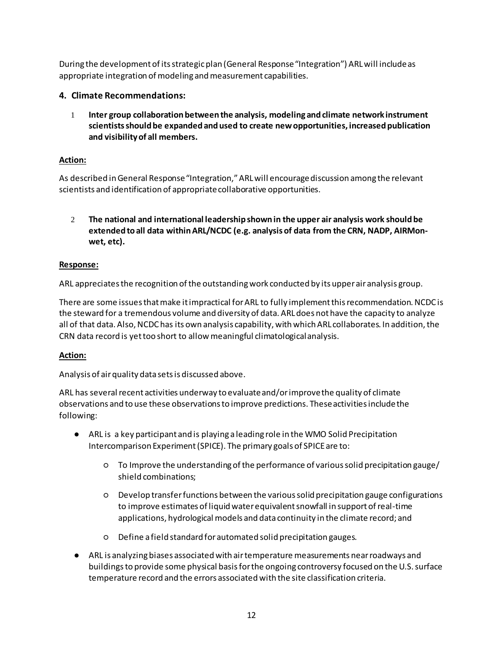During the development of its strategic plan (General Response "Integration") ARL will include as appropriate integration of modeling and measurement capabilities.

# **4. Climate Recommendations:**

1 **Inter group collaboration between the analysis, modeling and climate network instrument scientists should be expanded and used to create new opportunities, increased publication and visibility of all members.**

# **Action:**

As described in General Response "Integration," ARL will encourage discussion among the relevant scientists and identification of appropriate collaborative opportunities.

2 **The national and international leadership shown in the upper air analysis work should be extended to all data within ARL/NCDC (e.g. analysis of data from the CRN, NADP, AIRMonwet, etc).**

# **Response:**

ARL appreciates the recognition of the outstanding work conducted by its upper air analysis group.

There are some issues that make it impractical for ARL to fully implement this recommendation. NCDC is the steward for a tremendous volume and diversity of data. ARL does not have the capacity to analyze all of that data. Also, NCDC has its own analysis capability, with which ARL collaborates. In addition, the CRN data record is yet too short to allow meaningful climatological analysis.

# **Action:**

Analysis of air quality data sets is discussed above.

ARL has several recent activities underway to evaluate and/or improve the quality of climate observations and to use these observations to improve predictions. These activities include the following:

- ARL is a key participant and is playing a leading role in the WMO Solid Precipitation Intercomparison Experiment (SPICE). The primary goals of SPICE are to:
	- To Improve the understanding of the performance of various solid precipitation gauge/ shield combinations;
	- Develop transfer functions between the various solid precipitation gauge configurations to improve estimates of liquid water equivalent snowfall in support of real-time applications, hydrological models and data continuity in the climate record; and
	- Define a field standard for automated solid precipitation gauges.
- ARL is analyzing biases associated with air temperature measurements near roadways and buildings to provide some physical basis for the ongoing controversy focused on the U.S. surface temperature record and the errors associated with the site classification criteria.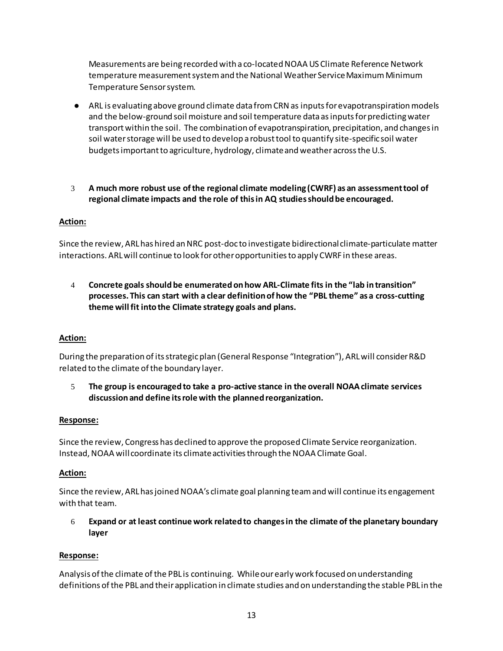Measurements are being recorded with a co-located NOAA US Climate Reference Network temperature measurement system and the National Weather Service Maximum Minimum Temperature Sensor system.

- ARL is evaluating above ground climate data from CRN as inputs for evapotranspiration models and the below-ground soil moisture and soil temperature data as inputs for predicting water transport within the soil. The combination of evapotranspiration, precipitation, and changes in soil water storage will be used to develop a robust tool to quantify site-specific soil water budgets important to agriculture, hydrology, climate and weather across the U.S.
- 3 **A much more robust use of the regional climate modeling (CWRF) as an assessment tool of regional climate impacts and the role of this in AQ studies should be encouraged.**

# **Action:**

Since the review, ARL has hired an NRC post-doc to investigate bidirectional climate-particulate matter interactions. ARL will continue to look for other opportunities to apply CWRF in these areas.

4 **Concrete goals should be enumerated on how ARL-Climate fits in the "lab in transition" processes. This can start with a clear definition of how the "PBL theme" as a cross-cutting theme will fit into the Climate strategy goals and plans.**

# **Action:**

During the preparation of its strategic plan (General Response "Integration"), ARL will consider R&D related to the climate of the boundary layer.

5 **The group is encouraged to take a pro-active stance in the overall NOAA climate services discussion and define its role with the planned reorganization.**

# **Response:**

Since the review, Congress has declined to approve the proposed Climate Service reorganization. Instead, NOAA will coordinate its climate activities through the NOAA Climate Goal.

# **Action:**

Since the review, ARL has joined NOAA's climate goal planning teamand will continue its engagement with that team.

6 **Expand or at least continue work related to changes in the climate of the planetary boundary layer**

# **Response:**

Analysis of the climate of the PBL is continuing. While our early work focused on understanding definitions of the PBL and their application in climate studies and on understanding the stable PBL in the